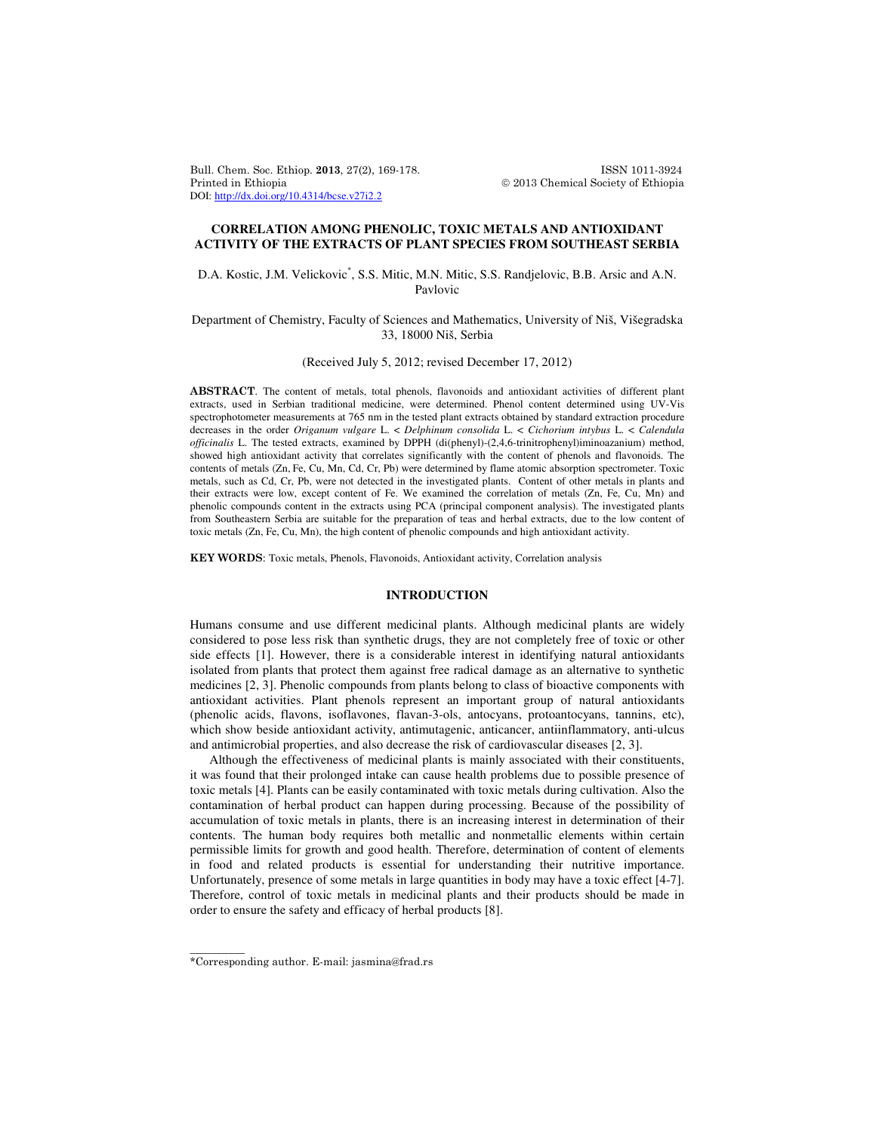Bull. Chem. Soc. Ethiop. 2013, 27(2), 169-178. ISSN 1011-3924 Printed in Ethiopia 2013 Chemical Society of Ethiopia DOI: http://dx.doi.org/10.4314/bcse.v27i2.2

# **CORRELATION AMONG PHENOLIC, TOXIC METALS AND ANTIOXIDANT ACTIVITY OF THE EXTRACTS OF PLANT SPECIES FROM SOUTHEAST SERBIA**

D.A. Kostic, J.M. Velickovic<sup>\*</sup>, S.S. Mitic, M.N. Mitic, S.S. Randjelovic, B.B. Arsic and A.N. Pavlovic

# Department of Chemistry, Faculty of Sciences and Mathematics, University of Niš, Višegradska 33, 18000 Niš, Serbia

# (Received July 5, 2012; revised December 17, 2012)

ABSTRACT. The content of metals, total phenols, flavonoids and antioxidant activities of different plant extracts, used in Serbian traditional medicine, were determined. Phenol content determined using UV-Vis spectrophotometer measurements at 765 nm in the tested plant extracts obtained by standard extraction procedure decreases in the order *Origanum vulgare* L. < *Delphinum consolida* L. < *Cichorium intybus* L. < *Calendula officinalis* L. The tested extracts, examined by DPPH (di(phenyl)-(2,4,6-trinitrophenyl)iminoazanium) method, showed high antioxidant activity that correlates significantly with the content of phenols and flavonoids. The contents of metals (Zn, Fe, Cu, Mn, Cd, Cr, Pb) were determined by flame atomic absorption spectrometer. Toxic metals, such as Cd, Cr, Pb, were not detected in the investigated plants. Content of other metals in plants and their extracts were low, except content of Fe. We examined the correlation of metals (Zn, Fe, Cu, Mn) and phenolic compounds content in the extracts using PCA (principal component analysis). The investigated plants from Southeastern Serbia are suitable for the preparation of teas and herbal extracts, due to the low content of toxic metals (Zn, Fe, Cu, Mn), the high content of phenolic compounds and high antioxidant activity.

KEY WORDS: Toxic metals, Phenols, Flavonoids, Antioxidant activity, Correlation analysis

# **INTRODUCTION**

Humans consume and use different medicinal plants. Although medicinal plants are widely considered to pose less risk than synthetic drugs, they are not completely free of toxic or other side effects [1]. However, there is a considerable interest in identifying natural antioxidants isolated from plants that protect them against free radical damage as an alternative to synthetic medicines [2, 3]. Phenolic compounds from plants belong to class of bioactive components with antioxidant activities. Plant phenols represent an important group of natural antioxidants (phenolic acids, flavons, isoflavones, flavan-3-ols, antocyans, protoantocyans, tannins, etc), which show beside antioxidant activity, antimutagenic, anticancer, antiinflammatory, anti-ulcus and antimicrobial properties, and also decrease the risk of cardiovascular diseases [2, 3].

Although the effectiveness of medicinal plants is mainly associated with their constituents, it was found that their prolonged intake can cause health problems due to possible presence of toxic metals [4]. Plants can be easily contaminated with toxic metals during cultivation. Also the contamination of herbal product can happen during processing. Because of the possibility of accumulation of toxic metals in plants, there is an increasing interest in determination of their contents. The human body requires both metallic and nonmetallic elements within certain permissible limits for growth and good health. Therefore, determination of content of elements in food and related products is essential for understanding their nutritive importance. Unfortunately, presence of some metals in large quantities in body may have a toxic effect [4-7]. Therefore, control of toxic metals in medicinal plants and their products should be made in order to ensure the safety and efficacy of herbal products [8].

\_\_\_\_\_\_\_\_\_\_

<sup>\*</sup>Corresponding author. E-mail: jasmina@frad.rs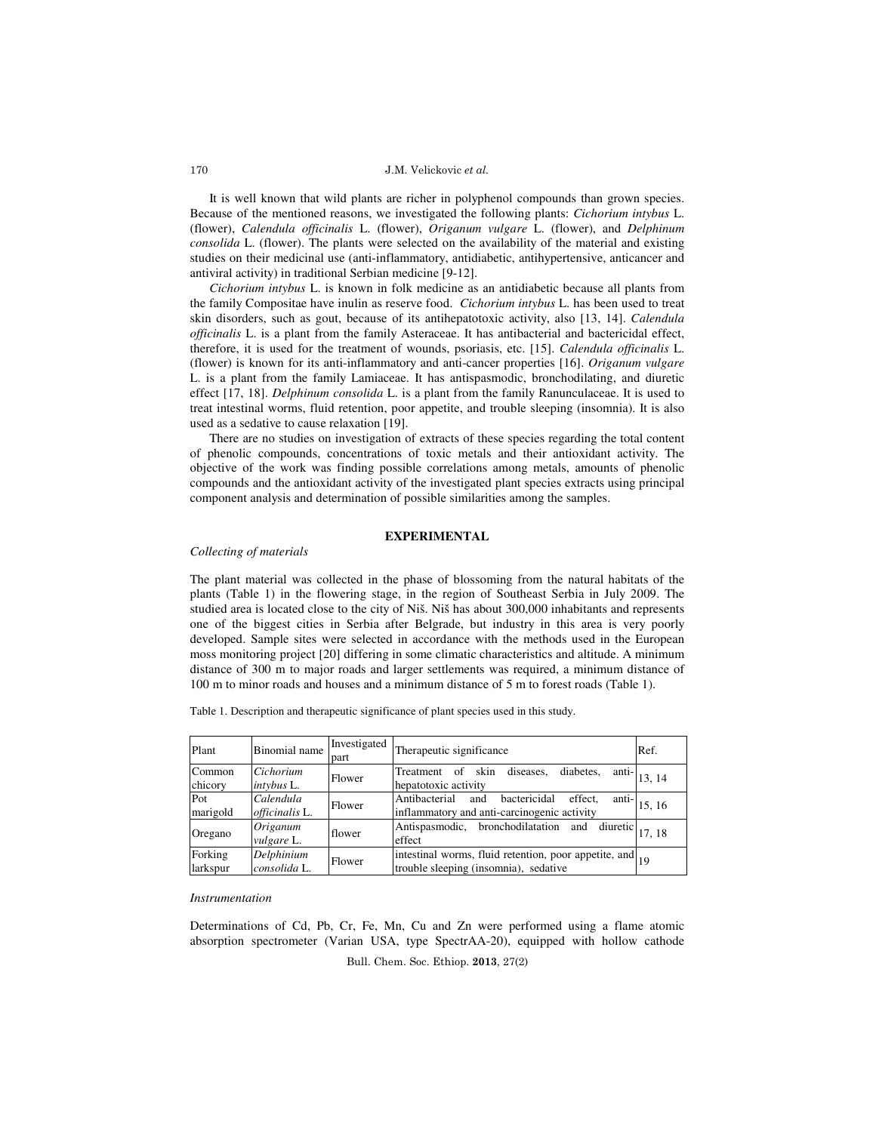J.M. Velickovic et al.

It is well known that wild plants are richer in polyphenol compounds than grown species. Because of the mentioned reasons, we investigated the following plants: *Cichorium intybus* L. (flower), *Calendula officinalis* L. (flower), *Origanum vulgare* L. (flower), and *Delphinum consolida* L. (flower). The plants were selected on the availability of the material and existing studies on their medicinal use (anti-inflammatory, antidiabetic, antihypertensive, anticancer and antiviral activity) in traditional Serbian medicine [9-12].

*Cichorium intybus* L. is known in folk medicine as an antidiabetic because all plants from the family Compositae have inulin as reserve food. *Cichorium intybus* L. has been used to treat skin disorders, such as gout, because of its antihepatotoxic activity, also [13, 14]. *Calendula officinalis* L. is a plant from the family Asteraceae. It has antibacterial and bactericidal effect, therefore, it is used for the treatment of wounds, psoriasis, etc. [15]. *Calendula officinalis* L. (flower) is known for its anti-inflammatory and anti-cancer properties [16]. *Origanum vulgare*  L. is a plant from the family Lamiaceae. It has antispasmodic, bronchodilating, and diuretic effect [17, 18]. *Delphinum consolida* L. is a plant from the family Ranunculaceae. It is used to treat intestinal worms, fluid retention, poor appetite, and trouble sleeping (insomnia). It is also used as a sedative to cause relaxation [19].

There are no studies on investigation of extracts of these species regarding the total content of phenolic compounds, concentrations of toxic metals and their antioxidant activity. The objective of the work was finding possible correlations among metals, amounts of phenolic compounds and the antioxidant activity of the investigated plant species extracts using principal component analysis and determination of possible similarities among the samples.

# **EXPERIMENTAL**

# *Collecting of materials*

The plant material was collected in the phase of blossoming from the natural habitats of the plants (Table 1) in the flowering stage, in the region of Southeast Serbia in July 2009. The studied area is located close to the city of Niš. Niš has about 300,000 inhabitants and represents one of the biggest cities in Serbia after Belgrade, but industry in this area is very poorly developed. Sample sites were selected in accordance with the methods used in the European moss monitoring project [20] differing in some climatic characteristics and altitude. A minimum distance of 300 m to major roads and larger settlements was required, a minimum distance of 100 m to minor roads and houses and a minimum distance of 5 m to forest roads (Table 1).

Table 1. Description and therapeutic significance of plant species used in this study.

| Plant               | Binomial name               | Investigated<br>part | Therapeutic significance                                                                                | Ref.  |
|---------------------|-----------------------------|----------------------|---------------------------------------------------------------------------------------------------------|-------|
| Common<br>chicory   | Cichorium<br>intybus L.     | Flower               | anti-<br>diabetes.<br>skin<br>diseases,<br>Treatment of<br>hepatotoxic activity                         | 13.14 |
| Pot<br>marigold     | Calendula<br>officinalis L. | Flower               | Antibacterial<br>bactericidal<br>effect,<br>anti-<br>and<br>inflammatory and anti-carcinogenic activity | 15.16 |
| Oregano             | Origanum<br>vulgare L.      | flower               | Antispasmodic, bronchodilatation and<br>diuretic<br>effect                                              | 17.18 |
| Forking<br>larkspur | Delphinium<br>consolida L.  | Flower               | intestinal worms, fluid retention, poor appetite, and 19<br>trouble sleeping (insomnia), sedative       |       |

### *Instrumentation*

Determinations of Cd, Pb, Cr, Fe, Mn, Cu and Zn were performed using a flame atomic absorption spectrometer (Varian USA, type SpectrAA-20), equipped with hollow cathode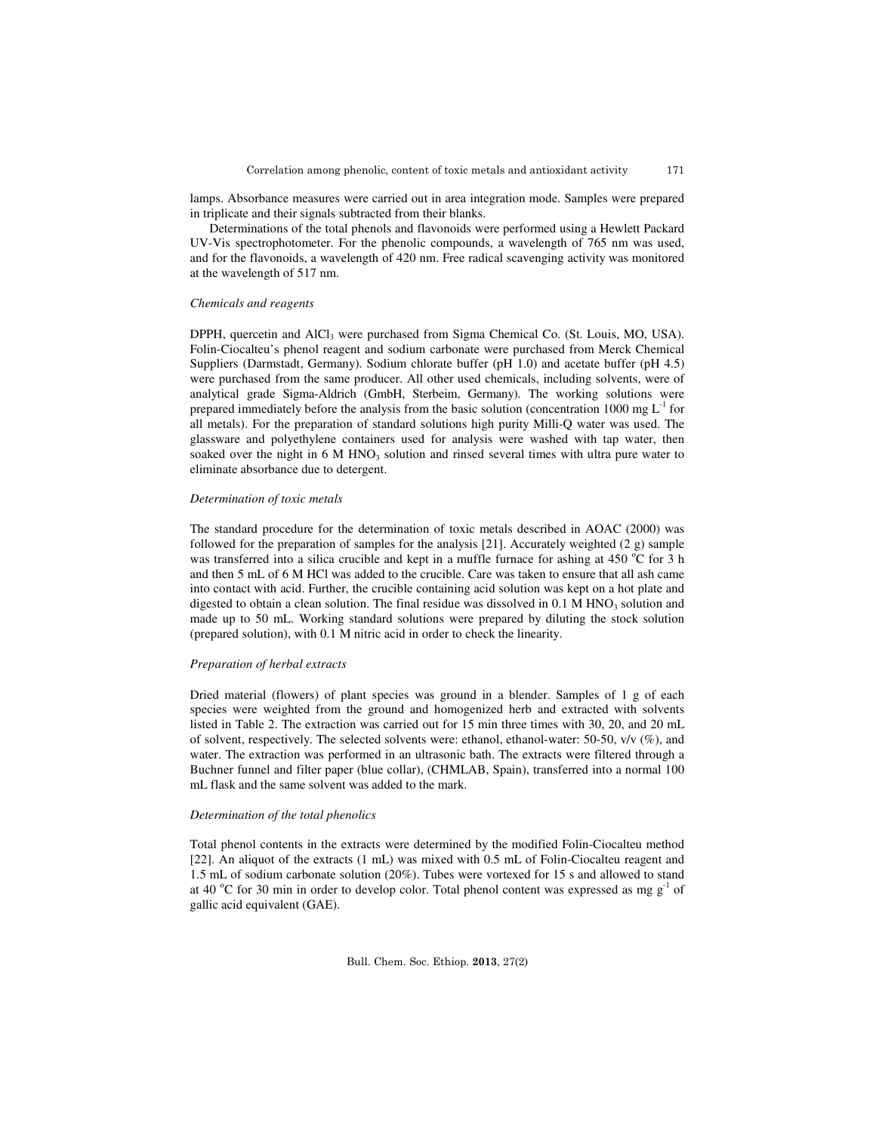lamps. Absorbance measures were carried out in area integration mode. Samples were prepared in triplicate and their signals subtracted from their blanks.

Determinations of the total phenols and flavonoids were performed using a Hewlett Packard UV-Vis spectrophotometer. For the phenolic compounds, a wavelength of 765 nm was used, and for the flavonoids, a wavelength of 420 nm. Free radical scavenging activity was monitored at the wavelength of 517 nm.

# *Chemicals and reagents*

DPPH, quercetin and AlCl<sub>3</sub> were purchased from Sigma Chemical Co. (St. Louis, MO, USA). Folin-Ciocalteu's phenol reagent and sodium carbonate were purchased from Merck Chemical Suppliers (Darmstadt, Germany). Sodium chlorate buffer (pH 1.0) and acetate buffer (pH 4.5) were purchased from the same producer. All other used chemicals, including solvents, were of analytical grade Sigma-Aldrich (GmbH, Sterbeim, Germany). The working solutions were prepared immediately before the analysis from the basic solution (concentration 1000 mg  $L^{-1}$  for all metals). For the preparation of standard solutions high purity Milli-Q water was used. The glassware and polyethylene containers used for analysis were washed with tap water, then soaked over the night in  $6 \text{ M HNO}_3$  solution and rinsed several times with ultra pure water to eliminate absorbance due to detergent.

## *Determination of toxic metals*

The standard procedure for the determination of toxic metals described in AOAC (2000) was followed for the preparation of samples for the analysis [21]. Accurately weighted (2 g) sample was transferred into a silica crucible and kept in a muffle furnace for ashing at 450  $^{\circ}$ C for 3 h and then 5 mL of 6 M HCl was added to the crucible. Care was taken to ensure that all ash came into contact with acid. Further, the crucible containing acid solution was kept on a hot plate and digested to obtain a clean solution. The final residue was dissolved in  $0.1 M HNO<sub>3</sub>$  solution and made up to 50 mL. Working standard solutions were prepared by diluting the stock solution (prepared solution), with 0.1 M nitric acid in order to check the linearity.

### *Preparation of herbal extracts*

Dried material (flowers) of plant species was ground in a blender. Samples of 1 g of each species were weighted from the ground and homogenized herb and extracted with solvents listed in Table 2. The extraction was carried out for 15 min three times with 30, 20, and 20 mL of solvent, respectively. The selected solvents were: ethanol, ethanol-water: 50-50,  $v/v$  (%), and water. The extraction was performed in an ultrasonic bath. The extracts were filtered through a Buchner funnel and filter paper (blue collar), (CHMLAB, Spain), transferred into a normal 100 mL flask and the same solvent was added to the mark.

#### *Determination of the total phenolics*

Total phenol contents in the extracts were determined by the modified Folin-Ciocalteu method [22]. An aliquot of the extracts (1 mL) was mixed with 0.5 mL of Folin-Ciocalteu reagent and 1.5 mL of sodium carbonate solution (20%). Tubes were vortexed for 15 s and allowed to stand at 40  $^{\circ}$ C for 30 min in order to develop color. Total phenol content was expressed as mg  $g^{-1}$  of gallic acid equivalent (GAE).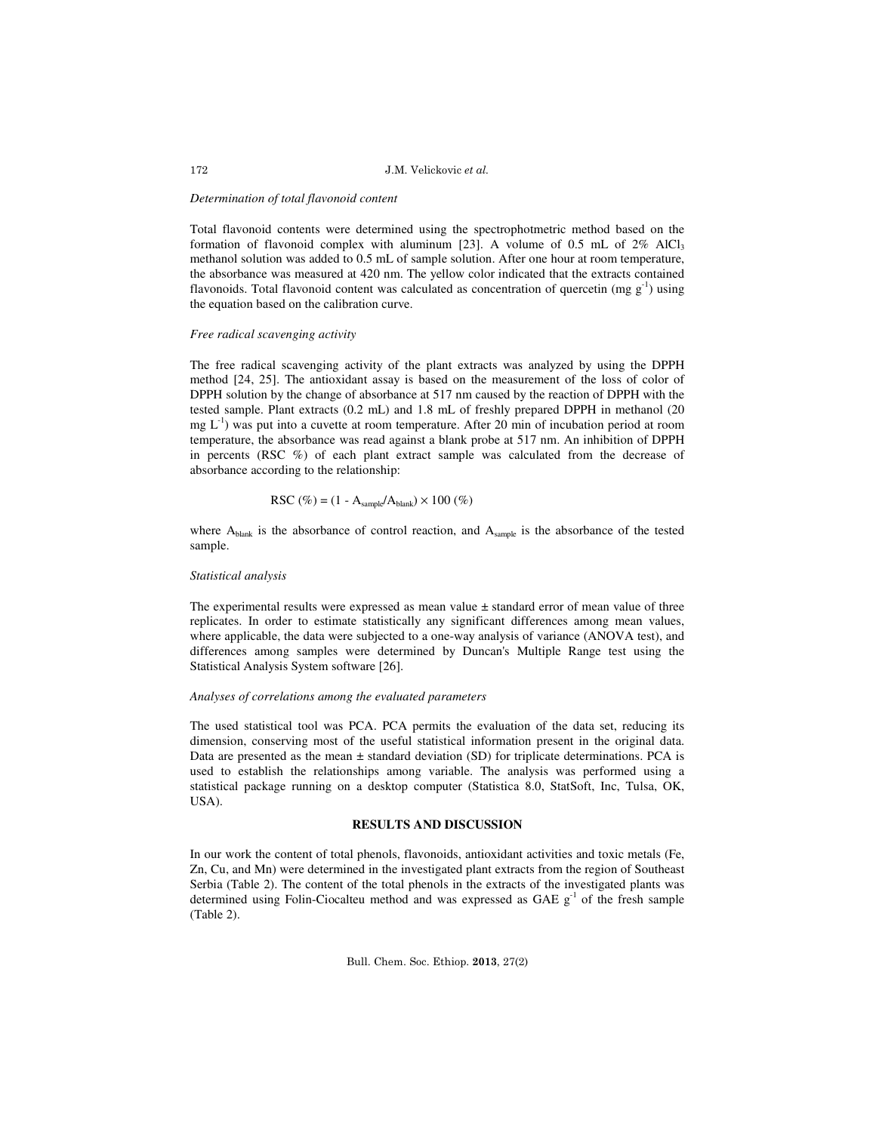## J.M. Velickovic et al.

## *Determination of total flavonoid content*

Total flavonoid contents were determined using the spectrophotmetric method based on the formation of flavonoid complex with aluminum [23]. A volume of 0.5 mL of 2% AlCl<sub>3</sub> methanol solution was added to 0.5 mL of sample solution. After one hour at room temperature, the absorbance was measured at 420 nm. The yellow color indicated that the extracts contained flavonoids. Total flavonoid content was calculated as concentration of quercetin (mg  $g^{-1}$ ) using the equation based on the calibration curve.

### *Free radical scavenging activity*

The free radical scavenging activity of the plant extracts was analyzed by using the DPPH method [24, 25]. The antioxidant assay is based on the measurement of the loss of color of DPPH solution by the change of absorbance at 517 nm caused by the reaction of DPPH with the tested sample. Plant extracts (0.2 mL) and 1.8 mL of freshly prepared DPPH in methanol (20  $mg L^{-1}$ ) was put into a cuvette at room temperature. After 20 min of incubation period at room temperature, the absorbance was read against a blank probe at 517 nm. An inhibition of DPPH in percents (RSC %) of each plant extract sample was calculated from the decrease of absorbance according to the relationship:

$$
RSC\ (\%) = (1 - A_{sample}/A_{blank}) \times 100\ (\%)
$$

where  $A_{\text{blank}}$  is the absorbance of control reaction, and  $A_{\text{sample}}$  is the absorbance of the tested sample.

### *Statistical analysis*

The experimental results were expressed as mean value  $\pm$  standard error of mean value of three replicates. In order to estimate statistically any significant differences among mean values, where applicable, the data were subjected to a one-way analysis of variance (ANOVA test), and differences among samples were determined by Duncan's Multiple Range test using the Statistical Analysis System software [26].

#### *Analyses of correlations among the evaluated parameters*

The used statistical tool was PCA. PCA permits the evaluation of the data set, reducing its dimension, conserving most of the useful statistical information present in the original data. Data are presented as the mean  $\pm$  standard deviation (SD) for triplicate determinations. PCA is used to establish the relationships among variable. The analysis was performed using a statistical package running on a desktop computer (Statistica 8.0, StatSoft, Inc, Tulsa, OK, USA).

# **RESULTS AND DISCUSSION**

In our work the content of total phenols, flavonoids, antioxidant activities and toxic metals (Fe, Zn, Cu, and Mn) were determined in the investigated plant extracts from the region of Southeast Serbia (Table 2). The content of the total phenols in the extracts of the investigated plants was determined using Folin-Ciocalteu method and was expressed as GAE  $g^{-1}$  of the fresh sample (Table 2).

Bull. Chem. Soc. Ethiop. 2013, 27(2)

172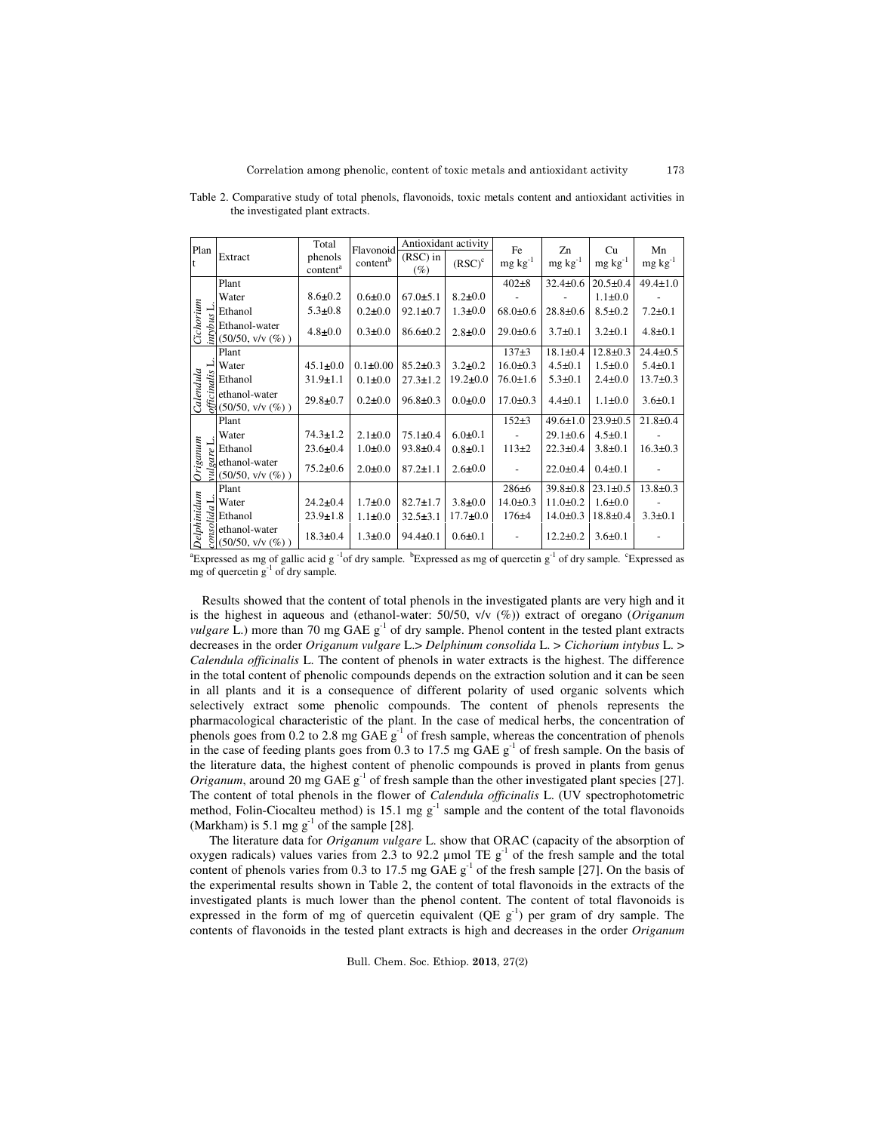| Plan            |                                                                                                                                                                                                                                                                                                                                                                                                                                                                                                                                                                                                      | Total                           | Flavonoid            | Antioxidant activity |                | Fe              | Zn              | Cu              | Mn              |
|-----------------|------------------------------------------------------------------------------------------------------------------------------------------------------------------------------------------------------------------------------------------------------------------------------------------------------------------------------------------------------------------------------------------------------------------------------------------------------------------------------------------------------------------------------------------------------------------------------------------------------|---------------------------------|----------------------|----------------------|----------------|-----------------|-----------------|-----------------|-----------------|
| $\ddagger$      | Extract                                                                                                                                                                                                                                                                                                                                                                                                                                                                                                                                                                                              | phenols<br>content <sup>a</sup> | content <sup>b</sup> | $(RSC)$ in<br>$(\%)$ | $(RSC)^c$      | $mg \, kg^{-1}$ | $mg \, kg^{-1}$ | $mg \, kg^{-1}$ | $mg \, kg^{-1}$ |
|                 | Plant                                                                                                                                                                                                                                                                                                                                                                                                                                                                                                                                                                                                |                                 |                      |                      |                | $402 + 8$       | $32.4 \pm 0.6$  | $20.5 \pm 0.4$  | $49.4 \pm 1.0$  |
|                 | Water                                                                                                                                                                                                                                                                                                                                                                                                                                                                                                                                                                                                | $8.6 \pm 0.2$                   | $0.6 + 0.0$          | $67.0 \pm 5.1$       | $8.2 \pm 0.0$  |                 |                 | $1.1 \pm 0.0$   |                 |
|                 |                                                                                                                                                                                                                                                                                                                                                                                                                                                                                                                                                                                                      | $5.3 \pm 0.8$                   | $0.2 \pm 0.0$        | $92.1 \pm 0.7$       | $1.3 \pm 0.0$  | $68.0 \pm 0.6$  | $28.8 + 0.6$    | $8.5 \pm 0.2$   | $7.2 \pm 0.1$   |
| Cichorium       | Ethanol<br>Ethanol-water<br>$\sum_{k=1}^{\infty}$ Ethanol-water<br>$\sum_{k=1}^{\infty}$ (50/50, v/v (%))                                                                                                                                                                                                                                                                                                                                                                                                                                                                                            | $4.8 \pm 0.0$                   | $0.3 + 0.0$          | $86.6 \pm 0.2$       | $2.8 \pm 0.0$  | $29.0 \pm 0.6$  | $3.7 \pm 0.1$   | $3.2 \pm 0.1$   | $4.8 \pm 0.1$   |
|                 | Plant                                                                                                                                                                                                                                                                                                                                                                                                                                                                                                                                                                                                |                                 |                      |                      |                | $137+3$         | $18.1 \pm 0.4$  | $12.8 \pm 0.3$  | $24.4 \pm 0.5$  |
| Calendula       |                                                                                                                                                                                                                                                                                                                                                                                                                                                                                                                                                                                                      | $45.1 \pm 0.0$                  | $0.1 \pm 0.00$       | $85.2 \pm 0.3$       | $3.2 + 0.2$    | $16.0 \pm 0.3$  | $4.5 \pm 0.1$   | $1.5 \pm 0.0$   | $5.4 \pm 0.1$   |
|                 |                                                                                                                                                                                                                                                                                                                                                                                                                                                                                                                                                                                                      | $31.9 \pm 1.1$                  | $0.1 \pm 0.0$        | $27.3 \pm 1.2$       | $19.2 \pm 0.0$ | $76.0 \pm 1.6$  | $5.3 \pm 0.1$   | $2.4 \pm 0.0$   | $13.7 \pm 0.3$  |
|                 | $\begin{array}{c}\n\mathbf{L} \\ \mathbf{F} \\ \hline\n\mathbf{F} \\ \hline\n\mathbf{F} \\ \hline\n\mathbf{F} \\ \hline\n\mathbf{F} \\ \hline\n\mathbf{F} \\ \hline\n\mathbf{F} \\ \hline\n\mathbf{F} \\ \hline\n\mathbf{F} \\ \hline\n\mathbf{F} \\ \hline\n\mathbf{F} \\ \hline\n\mathbf{F} \\ \hline\n\mathbf{F} \\ \hline\n\mathbf{F} \\ \hline\n\mathbf{F} \\ \hline\n\mathbf{F} \\ \hline\n\mathbf{F} \\ \hline\n\mathbf{F} \\ \hline\n\mathbf{F} \\ $<br>ethanol-water<br>$(50/50, v/v (\%) )$                                                                                                | $29.8 \pm 0.7$                  | $0.2 \pm 0.0$        | $96.8 \pm 0.3$       | $0.0 + 0.0$    | $17.0 \pm 0.3$  | $4.4 \pm 0.1$   | $1.1 \pm 0.0$   | $3.6 \pm 0.1$   |
|                 | Plant                                                                                                                                                                                                                                                                                                                                                                                                                                                                                                                                                                                                |                                 |                      |                      |                | $152+3$         | $49.6 \pm 1.0$  | $23.9 \pm 0.5$  | $21.8 \pm 0.4$  |
|                 | Water                                                                                                                                                                                                                                                                                                                                                                                                                                                                                                                                                                                                | $74.3 \pm 1.2$                  | $2.1 \pm 0.0$        | $75.1 \pm 0.4$       | $6.0 + 0.1$    |                 | $29.1 \pm 0.6$  | $4.5 \pm 0.1$   |                 |
|                 |                                                                                                                                                                                                                                                                                                                                                                                                                                                                                                                                                                                                      | $23.6 \pm 0.4$                  | $1.0 \pm 0.0$        | $93.8 \pm 0.4$       | $0.8 + 0.1$    | $113+2$         | $22.3 \pm 0.4$  | $3.8 \pm 0.1$   | $16.3 \pm 0.3$  |
| <b>Priganum</b> | $\begin{array}{l}\n\therefore \\ \downarrow \text{inter} \\ \downarrow \text{ethanol} \\ \downarrow \text{ethanol-water} \\ \downarrow \text{S} \\ \downarrow \text{S} \\ \downarrow \text{S} \\ \downarrow \text{S} \\ \downarrow \text{S} \\ \downarrow \text{S} \\ \downarrow \text{S} \\ \downarrow \text{S} \\ \downarrow \text{S} \\ \downarrow \text{S} \\ \downarrow \text{S} \\ \downarrow \text{S} \\ \downarrow \text{S} \\ \downarrow \text{S} \\ \downarrow \text{S} \\ \downarrow \text{S} \\ \downarrow \text{S} \\ \downarrow \text{S} \\ \downarrow \text{S} \\ \downarrow \text{S$ | $75.2 \pm 0.6$                  | $2.0 + 0.0$          | $87.2 \pm 1.1$       | $2.6 \pm 0.0$  |                 | $22.0 \pm 0.4$  | $0.4 \pm 0.1$   |                 |
|                 | Plant                                                                                                                                                                                                                                                                                                                                                                                                                                                                                                                                                                                                |                                 |                      |                      |                | $286 + 6$       | $39.8 \pm 0.8$  | $23.1 \pm 0.5$  | $13.8 \pm 0.3$  |
|                 |                                                                                                                                                                                                                                                                                                                                                                                                                                                                                                                                                                                                      | $24.2 \pm 0.4$                  | $1.7 + 0.0$          | $82.7 \pm 1.7$       | $3.8 + 0.0$    | $14.0 \pm 0.3$  | $11.0 \pm 0.2$  | $1.6 \pm 0.0$   |                 |
|                 | $\begin{array}{c}\n\Box \text{Water} \\ \overline{\Sigma} \\ \text{Ethanol} \\ \text{g} \\ \text{ethanol-water}\n\end{array}$                                                                                                                                                                                                                                                                                                                                                                                                                                                                        | $23.9 \pm 1.8$                  | $1.1 \pm 0.0$        | $32.5 \pm 3.1$       | $17.7 \pm 0.0$ | $176 + 4$       | $14.0 \pm 0.3$  | $18.8 + 0.4$    | $3.3 \pm 0.1$   |
| Delphinidum     | $\Im(50/50, v/v(\%))$                                                                                                                                                                                                                                                                                                                                                                                                                                                                                                                                                                                | $18.3 \pm 0.4$                  | $1.3 \pm 0.0$        | $94.4 \pm 0.1$       | $0.6 \pm 0.1$  |                 | $12.2 \pm 0.2$  | $3.6 \pm 0.1$   |                 |

Table 2. Comparative study of total phenols, flavonoids, toxic metals content and antioxidant activities in the investigated plant extracts.

<sup>a</sup>Expressed as mg of gallic acid g<sup>-1</sup>of dry sample. <sup>b</sup>Expressed as mg of quercetin g<sup>-1</sup> of dry sample. <sup>c</sup>Expressed as mg of quercetin  $g^{-1}$  of dry sample.

Results showed that the content of total phenols in the investigated plants are very high and it is the highest in aqueous and (ethanol-water: 50/50, v/v (%)) extract of oregano (*Origanum vulgare* L.) more than 70 mg GAE  $g^{-1}$  of dry sample. Phenol content in the tested plant extracts decreases in the order *Origanum vulgare* L.> *Delphinum consolida* L. > *Cichorium intybus* L. > *Calendula officinalis* L. The content of phenols in water extracts is the highest. The difference in the total content of phenolic compounds depends on the extraction solution and it can be seen in all plants and it is a consequence of different polarity of used organic solvents which selectively extract some phenolic compounds. The content of phenols represents the pharmacological characteristic of the plant. In the case of medical herbs, the concentration of phenols goes from 0.2 to 2.8 mg GAE  $g^{-1}$  of fresh sample, whereas the concentration of phenols in the case of feeding plants goes from 0.3 to 17.5 mg GAE  $g^{-1}$  of fresh sample. On the basis of the literature data, the highest content of phenolic compounds is proved in plants from genus *Origanum*, around 20 mg GAE  $g<sup>-1</sup>$  of fresh sample than the other investigated plant species [27]. The content of total phenols in the flower of *Calendula officinalis* L. (UV spectrophotometric method, Folin-Ciocalteu method) is 15.1 mg  $g^{-1}$  sample and the content of the total flavonoids (Markham) is 5.1 mg  $g^{-1}$  of the sample [28].

The literature data for *Origanum vulgare* L. show that ORAC (capacity of the absorption of oxygen radicals) values varies from 2.3 to 92.2 µmol TE  $g^{-1}$  of the fresh sample and the total content of phenols varies from 0.3 to 17.5 mg  $GAE g<sup>-1</sup>$  of the fresh sample [27]. On the basis of the experimental results shown in Table 2, the content of total flavonoids in the extracts of the investigated plants is much lower than the phenol content. The content of total flavonoids is expressed in the form of mg of quercetin equivalent (QE  $g^{-1}$ ) per gram of dry sample. The contents of flavonoids in the tested plant extracts is high and decreases in the order *Origanum*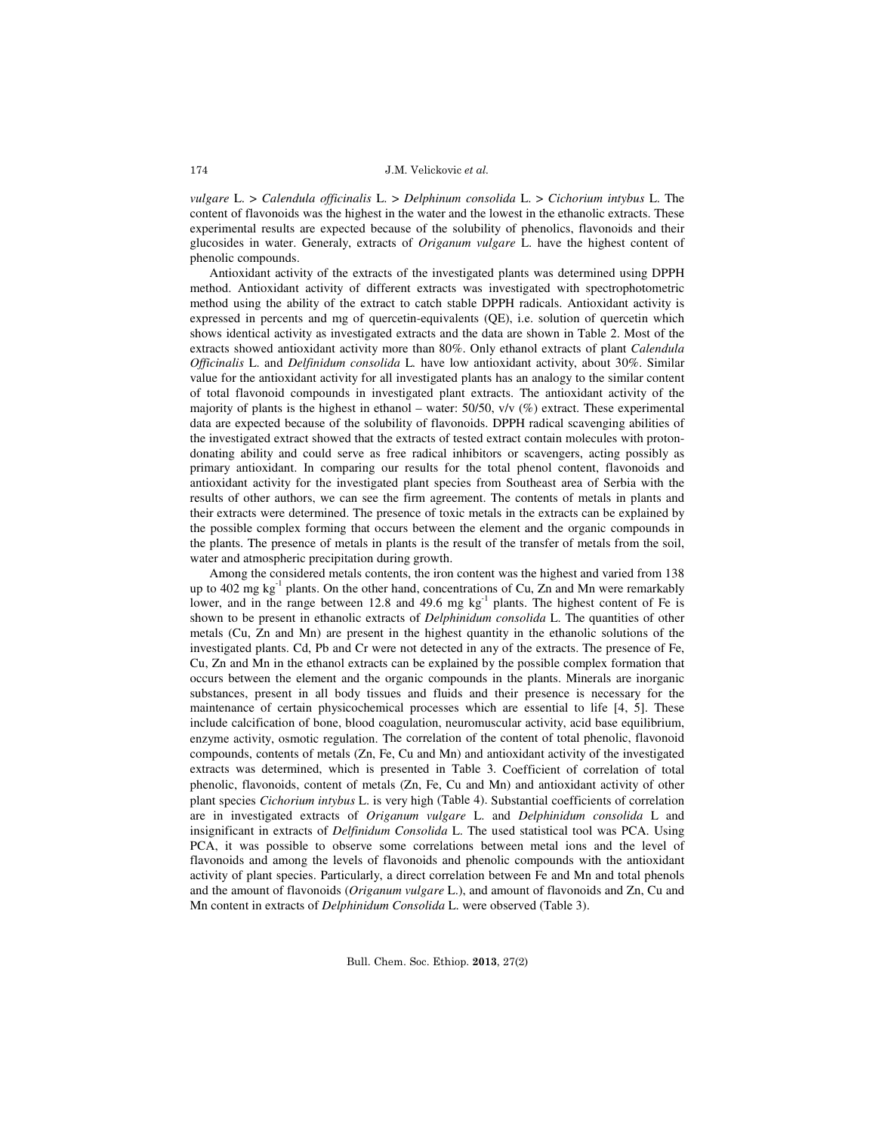J.M. Velickovic et al.

*vulgare* L. > *Calendula officinalis* L. > *Delphinum consolida* L. > *Cichorium intybus* L. The content of flavonoids was the highest in the water and the lowest in the ethanolic extracts. These experimental results are expected because of the solubility of phenolics, flavonoids and their glucosides in water. Generaly, extracts of *Origanum vulgare* L. have the highest content of phenolic compounds.

Antioxidant activity of the extracts of the investigated plants was determined using DPPH method. Antioxidant activity of different extracts was investigated with spectrophotometric method using the ability of the extract to catch stable DPPH radicals. Antioxidant activity is expressed in percents and mg of quercetin-equivalents (QE), i.e. solution of quercetin which shows identical activity as investigated extracts and the data are shown in Table 2. Most of the extracts showed antioxidant activity more than 80%. Only ethanol extracts of plant *Calendula Officinalis* L. and *Delfinidum consolida* L*.* have low antioxidant activity, about 30%. Similar value for the antioxidant activity for all investigated plants has an analogy to the similar content of total flavonoid compounds in investigated plant extracts. The antioxidant activity of the majority of plants is the highest in ethanol – water: 50/50, v/v (%) extract. These experimental data are expected because of the solubility of flavonoids. DPPH radical scavenging abilities of the investigated extract showed that the extracts of tested extract contain molecules with protondonating ability and could serve as free radical inhibitors or scavengers, acting possibly as primary antioxidant. In comparing our results for the total phenol content, flavonoids and antioxidant activity for the investigated plant species from Southeast area of Serbia with the results of other authors, we can see the firm agreement. The contents of metals in plants and their extracts were determined. The presence of toxic metals in the extracts can be explained by the possible complex forming that occurs between the element and the organic compounds in the plants. The presence of metals in plants is the result of the transfer of metals from the soil, water and atmospheric precipitation during growth.

Among the considered metals contents, the iron content was the highest and varied from 138 up to 402 mg kg<sup>-1</sup> plants. On the other hand, concentrations of Cu, Zn and Mn were remarkably lower, and in the range between 12.8 and 49.6 mg  $kg^{-1}$  plants. The highest content of Fe is shown to be present in ethanolic extracts of *Delphinidum consolida* L. The quantities of other metals (Cu, Zn and Mn) are present in the highest quantity in the ethanolic solutions of the investigated plants. Cd, Pb and Cr were not detected in any of the extracts. The presence of Fe, Cu, Zn and Mn in the ethanol extracts can be explained by the possible complex formation that occurs between the element and the organic compounds in the plants. Minerals are inorganic substances, present in all body tissues and fluids and their presence is necessary for the maintenance of certain physicochemical processes which are essential to life [4, 5]. These include calcification of bone, blood coagulation, neuromuscular activity, acid base equilibrium, enzyme activity, osmotic regulation. The correlation of the content of total phenolic, flavonoid compounds, contents of metals (Zn, Fe, Cu and Mn) and antioxidant activity of the investigated extracts was determined, which is presented in Table 3. Coefficient of correlation of total phenolic, flavonoids, content of metals (Zn, Fe, Cu and Mn) and antioxidant activity of other plant species *Cichorium intybus* L. is very high (Table 4). Substantial coefficients of correlation are in investigated extracts of *Origanum vulgare* L. and *Delphinidum consolida* L and insignificant in extracts of *Delfinidum Consolida* L. The used statistical tool was PCA. Using PCA, it was possible to observe some correlations between metal ions and the level of flavonoids and among the levels of flavonoids and phenolic compounds with the antioxidant activity of plant species. Particularly, a direct correlation between Fe and Mn and total phenols and the amount of flavonoids (*Origanum vulgare* L.), and amount of flavonoids and Zn, Cu and Mn content in extracts of *Delphinidum Consolida* L. were observed (Table 3).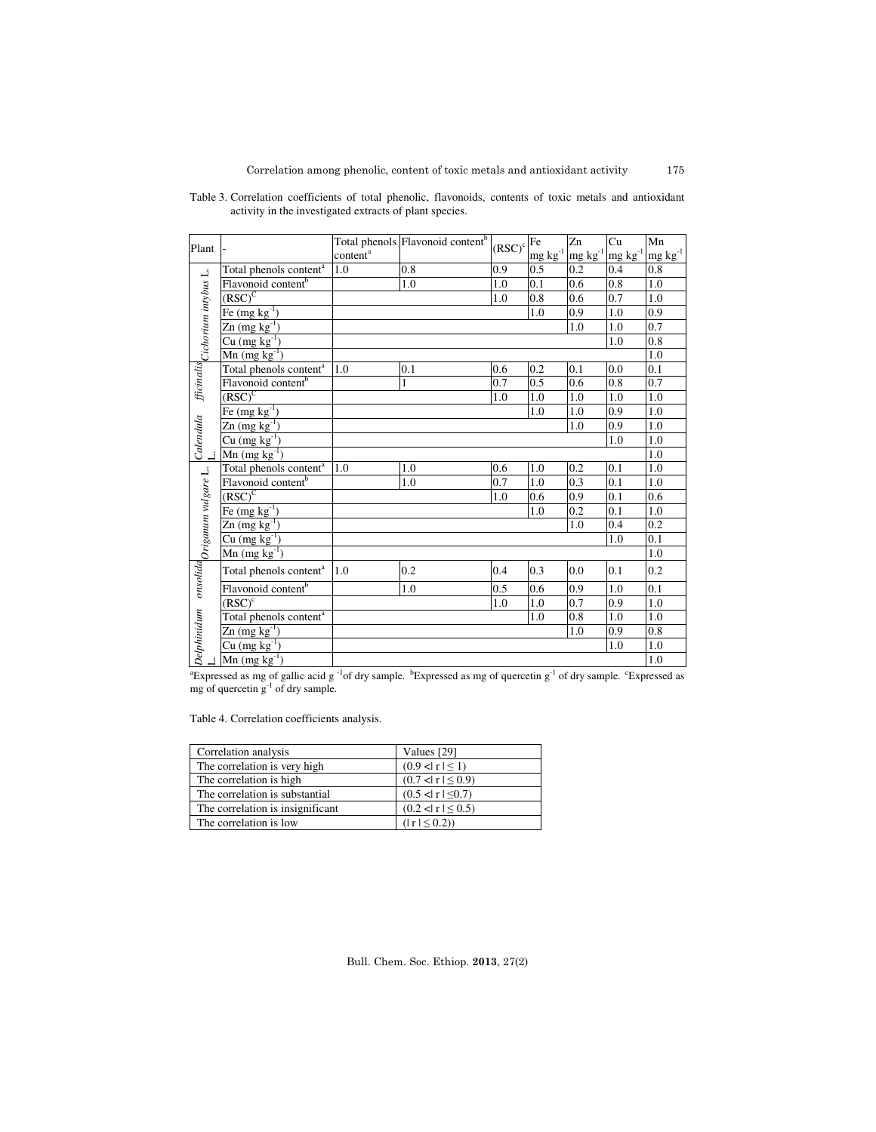| Plant                                   |                                    |                      | Total phenols Flavonoid content <sup>b</sup> | $(RSC)^c$ | <b>Fe</b>                                | Zn           | Cu                                  | Mn           |
|-----------------------------------------|------------------------------------|----------------------|----------------------------------------------|-----------|------------------------------------------|--------------|-------------------------------------|--------------|
|                                         |                                    | content <sup>a</sup> |                                              |           | $\underline{mg}\, \text{kg}^{\text{-1}}$ | $mg kg^{-1}$ | $\mbox{mg}\; \mbox{kg}^{\mbox{-}1}$ | $mg kg^{-1}$ |
|                                         | Total phenols content <sup>a</sup> | 1.0                  | 0.8                                          | 0.9       | 0.5                                      | 0.2          | 0.4                                 | 0.8          |
|                                         | Flavonoid content <sup>b</sup>     |                      | 1.0                                          | 1.0       | 0.1                                      | 0.6          | 0.8                                 | 1.0          |
|                                         | $(SSC)^C$                          |                      |                                              | 1.0       | 0.8                                      | 0.6          | 0.7                                 | 1.0          |
|                                         | $Fe (mg kg-1)$                     |                      |                                              |           | 1.0                                      | 0.9          | 1.0                                 | 0.9          |
|                                         | $\text{Zn (mg kg}^{-1})$           |                      |                                              |           |                                          | 1.0          | 1.0                                 | 0.7          |
|                                         | $Cu$ (mg kg <sup>-1</sup> )        |                      |                                              |           |                                          |              | 1.0                                 | 0.8          |
| fficinalis cichorium intybus L.         | $Mn$ (mg $kg^{-1}$ )               |                      |                                              |           |                                          |              |                                     | 1.0          |
|                                         | Total phenols content <sup>a</sup> | 1.0                  | 0.1                                          | 0.6       | 0.2                                      | 0.1          | 0.0                                 | 0.1          |
|                                         | Flavonoid content <sup>b</sup>     |                      | $\mathbf{1}$                                 | 0.7       | 0.5                                      | 0.6          | 0.8                                 | 0.7          |
|                                         | $(RSC)^C$                          |                      |                                              | 1.0       | 1.0                                      | 1.0          | 1.0                                 | 1.0          |
|                                         | Fe $(mg kg^{-1})$                  |                      |                                              |           | 1.0                                      | 1.0          | 0.9                                 | 1.0          |
|                                         | $Zn$ (mg kg <sup>-1</sup> )        |                      |                                              |           |                                          | 1.0          | 0.9                                 | 1.0          |
| Calendula                               | $Cu (mg kg-1)$                     |                      |                                              |           |                                          |              | 1.0                                 | 1.0          |
|                                         | $\text{Mn (mg kg}^{-1})$           |                      |                                              |           |                                          |              |                                     | 1.0          |
|                                         | Total phenols content <sup>a</sup> | 1.0                  | 1.0                                          | 0.6       | 1.0                                      | 0.2          | 0.1                                 | 1.0          |
| onsolida <sub>Origanum vulgare L.</sub> | Flavonoid content <sup>b</sup>     |                      | 1.0                                          | 0.7       | 1.0                                      | 0.3          | 0.1                                 | 1.0          |
|                                         | $(RSC)^C$                          |                      |                                              | 1.0       | 0.6                                      | 0.9          | 0.1                                 | 0.6          |
|                                         | Fe $(mg \overline{kg^{-1}})$       |                      |                                              |           | 1.0                                      | 0.2          | 0.1                                 | $1.0\,$      |
|                                         | $Zn$ (mg $kg^{-1}$ )               |                      |                                              |           |                                          | 1.0          | 0.4                                 | 0.2          |
| Cu $(mg kg^{-1})$                       |                                    |                      |                                              |           |                                          |              | 1.0                                 | 0.1          |
|                                         | $Mn$ (mg $kg^{-1}$ )               |                      |                                              |           |                                          |              |                                     | 1.0          |
|                                         | Total phenols content <sup>a</sup> | 1.0                  | 0.2                                          | 0.4       | 0.3                                      | 0.0          | 0.1                                 | 0.2          |
|                                         | Flavonoid content <sup>b</sup>     |                      | 1.0                                          | 0.5       | 0.6                                      | 0.9          | 1.0                                 | 0.1          |
|                                         | $(RSC)^c$                          |                      |                                              | 1.0       | 1.0                                      | 0.7          | 0.9                                 | 1.0          |
|                                         | Total phenols content <sup>a</sup> |                      |                                              |           | 1.0                                      | 0.8          | 1.0                                 | 1.0          |
| Delphinidum                             | $Zn$ (mg kg $^{-1}$ )              |                      |                                              |           |                                          | 1.0          | 0.9                                 | 0.8          |
|                                         | $Cu$ (mg $kg^{-1}$ )               |                      |                                              |           |                                          |              | 1.0                                 | 1.0          |
|                                         | $Mn$ (mg $kg^{-1}$ )               |                      |                                              |           |                                          |              |                                     | 1.0          |

Table 3. Correlation coefficients of total phenolic, flavonoids, contents of toxic metals and antioxidant activity in the investigated extracts of plant species.

 ${}^4$ Expressed as mg of gallic acid g<sup>-1</sup>of dry sample.  ${}^b$ Expressed as mg of quercetin g<sup>-1</sup> of dry sample. <sup>c</sup>Expressed as mg of quercetin  $g^{-1}$  of dry sample.

Table 4. Correlation coefficients analysis.

| Correlation analysis              | Values [29]           |
|-----------------------------------|-----------------------|
| The correlation is very high      | $(0.9 <  r  \le 1)$   |
| The correlation is high.          | $(0.7 < r \leq 0.9)$  |
| The correlation is substantial    | $(0.5 <  r  \le 0.7)$ |
| The correlation is insignificant. | $(0.2 <  r  \le 0.5)$ |
| The correlation is low            | $( r  \le 0.2)$       |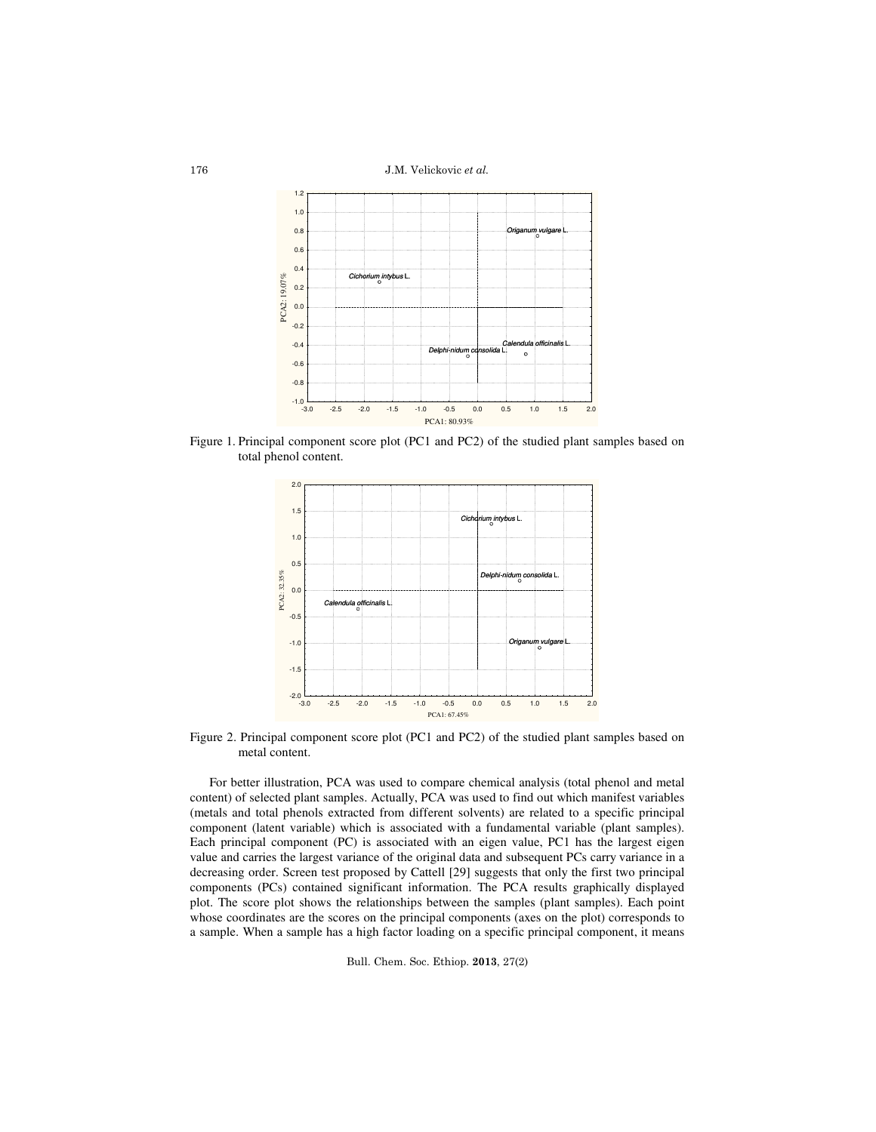J.M. Velickovic et al.



Figure 1. Principal component score plot (PC1 and PC2) of the studied plant samples based on total phenol content.



Figure 2. Principal component score plot (PC1 and PC2) of the studied plant samples based on metal content.

For better illustration, PCA was used to compare chemical analysis (total phenol and metal content) of selected plant samples. Actually, PCA was used to find out which manifest variables (metals and total phenols extracted from different solvents) are related to a specific principal component (latent variable) which is associated with a fundamental variable (plant samples). Each principal component (PC) is associated with an eigen value, PC1 has the largest eigen value and carries the largest variance of the original data and subsequent PCs carry variance in a decreasing order. Screen test proposed by Cattell [29] suggests that only the first two principal components (PCs) contained significant information. The PCA results graphically displayed plot. The score plot shows the relationships between the samples (plant samples). Each point whose coordinates are the scores on the principal components (axes on the plot) corresponds to a sample. When a sample has a high factor loading on a specific principal component, it means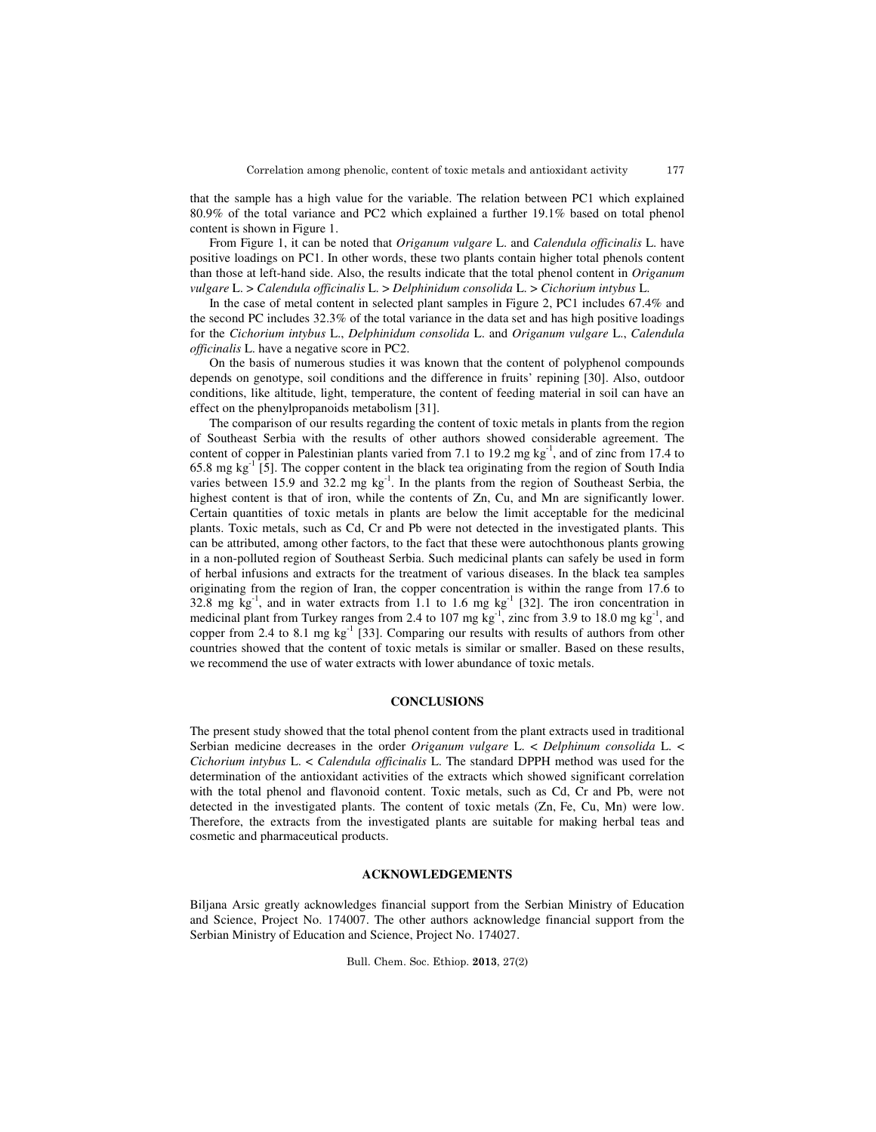177

that the sample has a high value for the variable. The relation between PC1 which explained 80.9% of the total variance and PC2 which explained a further 19.1% based on total phenol content is shown in Figure 1.

From Figure 1, it can be noted that *Origanum vulgare* L. and *Calendula officinalis* L. have positive loadings on PC1. In other words, these two plants contain higher total phenols content than those at left-hand side. Also, the results indicate that the total phenol content in *Origanum vulgare* L. > *Calendula officinalis* L. > *Delphinidum consolida* L. > *Cichorium intybus* L.

In the case of metal content in selected plant samples in Figure 2, PC1 includes 67.4% and the second PC includes 32.3% of the total variance in the data set and has high positive loadings for the *Cichorium intybus* L., *Delphinidum consolida* L. and *Origanum vulgare* L., *Calendula officinalis* L. have a negative score in PC2.

On the basis of numerous studies it was known that the content of polyphenol compounds depends on genotype, soil conditions and the difference in fruits' repining [30]. Also, outdoor conditions, like altitude, light, temperature, the content of feeding material in soil can have an effect on the phenylpropanoids metabolism [31].

The comparison of our results regarding the content of toxic metals in plants from the region of Southeast Serbia with the results of other authors showed considerable agreement. The content of copper in Palestinian plants varied from 7.1 to 19.2 mg  $kg^{-1}$ , and of zinc from 17.4 to  $65.8$  mg kg<sup>-1</sup> [5]. The copper content in the black tea originating from the region of South India varies between 15.9 and 32.2 mg  $kg^{-1}$ . In the plants from the region of Southeast Serbia, the highest content is that of iron, while the contents of Zn, Cu, and Mn are significantly lower. Certain quantities of toxic metals in plants are below the limit acceptable for the medicinal plants. Toxic metals, such as Cd, Cr and Pb were not detected in the investigated plants. This can be attributed, among other factors, to the fact that these were autochthonous plants growing in a non-polluted region of Southeast Serbia. Such medicinal plants can safely be used in form of herbal infusions and extracts for the treatment of various diseases. In the black tea samples originating from the region of Iran, the copper concentration is within the range from 17.6 to 32.8 mg  $kg^{-1}$ , and in water extracts from 1.1 to 1.6 mg  $kg^{-1}$  [32]. The iron concentration in medicinal plant from Turkey ranges from 2.4 to 107 mg  $kg^{-1}$ , zinc from 3.9 to 18.0 mg  $kg^{-1}$ , and copper from 2.4 to 8.1 mg  $kg^{-1}$  [33]. Comparing our results with results of authors from other countries showed that the content of toxic metals is similar or smaller. Based on these results, we recommend the use of water extracts with lower abundance of toxic metals.

# **CONCLUSIONS**

The present study showed that the total phenol content from the plant extracts used in traditional Serbian medicine decreases in the order *Origanum vulgare* L. < *Delphinum consolida* L. < *Cichorium intybus* L. < *Calendula officinalis* L. The standard DPPH method was used for the determination of the antioxidant activities of the extracts which showed significant correlation with the total phenol and flavonoid content. Toxic metals, such as Cd, Cr and Pb, were not detected in the investigated plants. The content of toxic metals (Zn, Fe, Cu, Mn) were low. Therefore, the extracts from the investigated plants are suitable for making herbal teas and cosmetic and pharmaceutical products.

### **ACKNOWLEDGEMENTS**

Biljana Arsic greatly acknowledges financial support from the Serbian Ministry of Education and Science, Project No. 174007. The other authors acknowledge financial support from the Serbian Ministry of Education and Science, Project No. 174027.